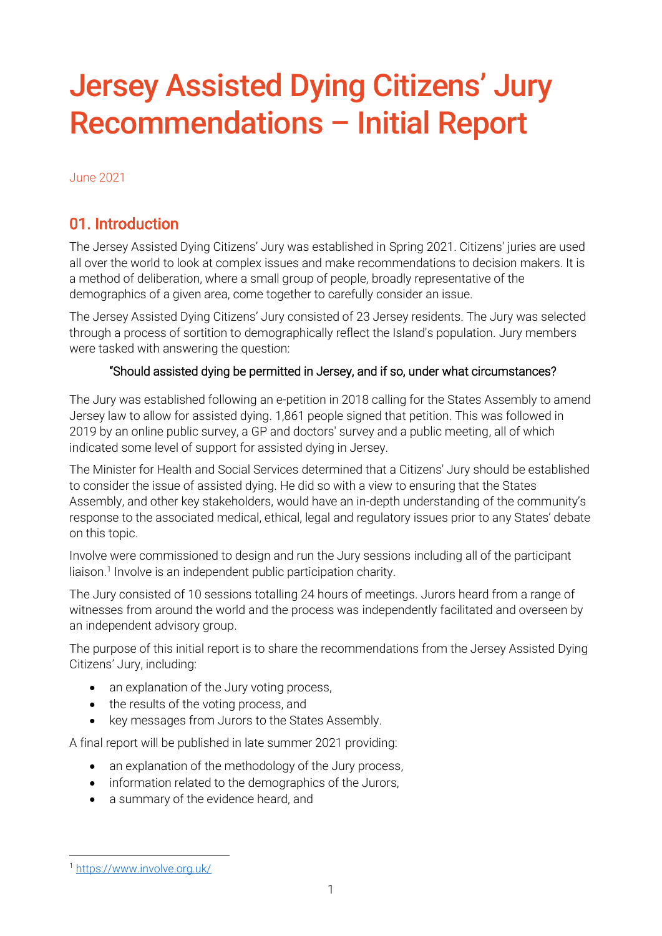# Jersey Assisted Dying Citizens' Jury Recommendations – Initial Report

June 2021

# 01. Introduction

The Jersey Assisted Dying Citizens' Jury was established in Spring 2021. Citizens' juries are used all over the world to look at complex issues and make recommendations to decision makers. It is a method of deliberation, where a small group of people, broadly representative of the demographics of a given area, come together to carefully consider an issue.

The Jersey Assisted Dying Citizens' Jury consisted of 23 Jersey residents. The Jury was selected through a process of sortition to demographically reflect the Island's population. Jury members were tasked with answering the question:

### "Should assisted dying be permitted in Jersey, and if so, under what circumstances?

The Jury was established following an e-petition in 2018 calling for the States Assembly to amend Jersey law to allow for assisted dying. 1,861 people signed that petition. This was followed in 2019 by an online public survey, a GP and doctors' survey and a public meeting, all of which indicated some level of support for assisted dying in Jersey.

The Minister for Health and Social Services determined that a Citizens' Jury should be established to consider the issue of assisted dying. He did so with a view to ensuring that the States Assembly, and other key stakeholders, would have an in-depth understanding of the community's response to the associated medical, ethical, legal and regulatory issues prior to any States' debate on this topic.

Involve were commissioned to design and run the Jury sessions including all of the participant liaison.<sup>1</sup> Involve is an independent public participation charity.

The Jury consisted of 10 sessions totalling 24 hours of meetings. Jurors heard from a range of witnesses from around the world and the process was independently facilitated and overseen by an independent advisory group.

The purpose of this initial report is to share the recommendations from the Jersey Assisted Dying Citizens' Jury, including:

- an explanation of the Jury voting process,
- the results of the voting process, and
- key messages from Jurors to the States Assembly.

A final report will be published in late summer 2021 providing:

- an explanation of the methodology of the Jury process,
- information related to the demographics of the Jurors,
- a summary of the evidence heard, and

<sup>1</sup> <https://www.involve.org.uk/>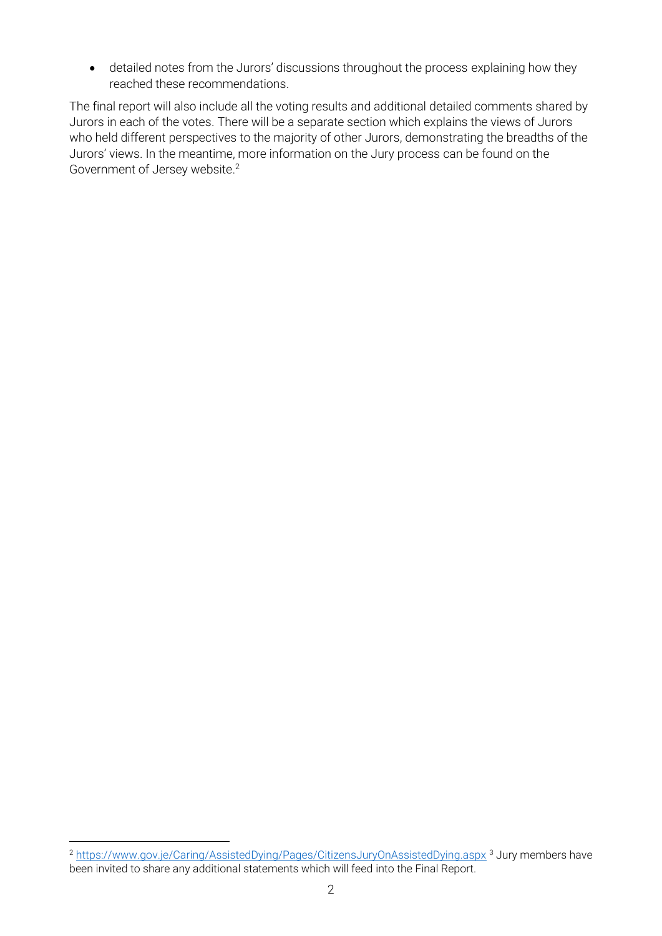• detailed notes from the Jurors' discussions throughout the process explaining how they reached these recommendations.

The final report will also include all the voting results and additional detailed comments shared by Jurors in each of the votes. There will be a separate section which explains the views of Jurors who held different perspectives to the majority of other Jurors, demonstrating the breadths of the Jurors' views. In the meantime, more information on the Jury process can be found on the Government of Jersey website. 2

<sup>&</sup>lt;sup>2</sup> <https://www.gov.je/Caring/AssistedDying/Pages/CitizensJuryOnAssistedDying.aspx><sup>3</sup> Jury members have been invited to share any additional statements which will feed into the Final Report.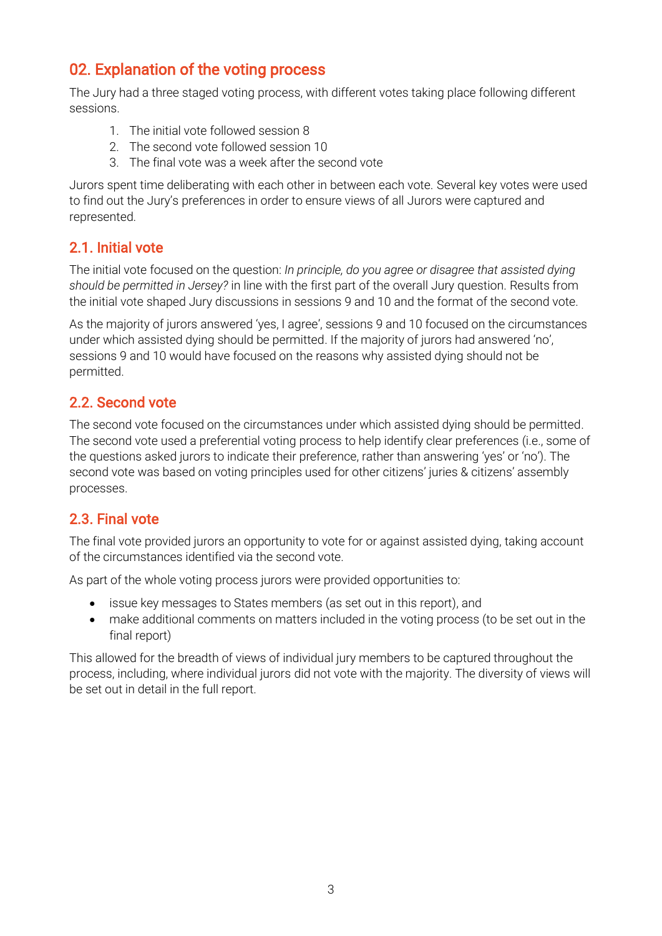# 02. Explanation of the voting process

The Jury had a three staged voting process, with different votes taking place following different sessions.

- 1. The initial vote followed session 8
- 2. The second vote followed session 10
- 3. The final vote was a week after the second vote

Jurors spent time deliberating with each other in between each vote. Several key votes were used to find out the Jury's preferences in order to ensure views of all Jurors were captured and represented.

# 2.1. Initial vote

The initial vote focused on the question: *In principle, do you agree or disagree that assisted dying should be permitted in Jersey?* in line with the first part of the overall Jury question. Results from the initial vote shaped Jury discussions in sessions 9 and 10 and the format of the second vote.

As the majority of jurors answered 'yes, I agree', sessions 9 and 10 focused on the circumstances under which assisted dying should be permitted. If the majority of jurors had answered 'no', sessions 9 and 10 would have focused on the reasons why assisted dying should not be permitted.

# 2.2. Second vote

The second vote focused on the circumstances under which assisted dying should be permitted. The second vote used a preferential voting process to help identify clear preferences (i.e., some of the questions asked jurors to indicate their preference, rather than answering 'yes' or 'no'). The second vote was based on voting principles used for other citizens' juries & citizens' assembly processes.

# 2.3. Final vote

The final vote provided jurors an opportunity to vote for or against assisted dying, taking account of the circumstances identified via the second vote.

As part of the whole voting process jurors were provided opportunities to:

- issue key messages to States members (as set out in this report), and
- make additional comments on matters included in the voting process (to be set out in the final report)

This allowed for the breadth of views of individual jury members to be captured throughout the process, including, where individual jurors did not vote with the majority. The diversity of views will be set out in detail in the full report.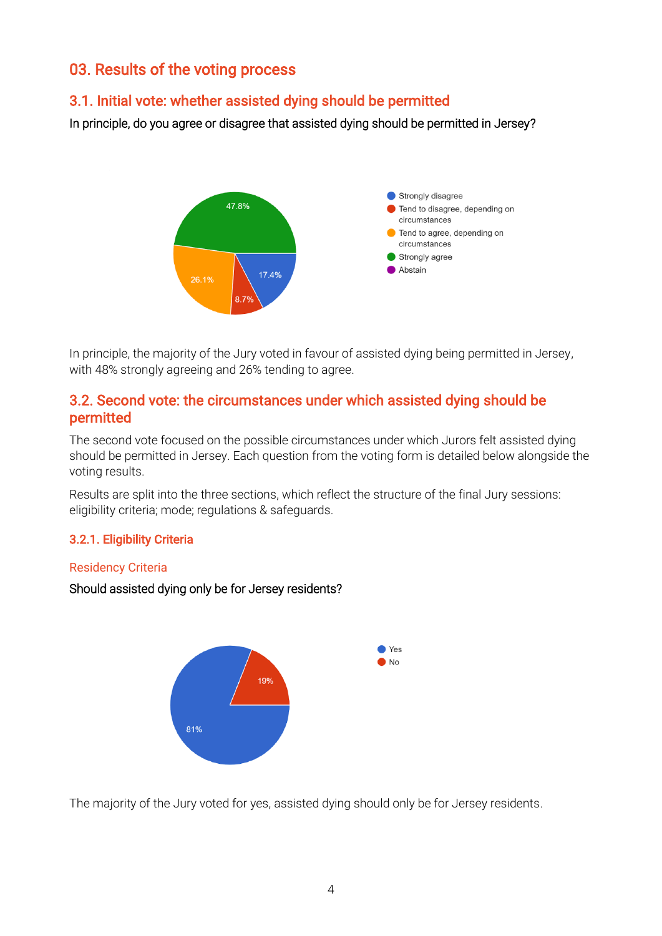# 03. Results of the voting process

# 3.1. Initial vote: whether assisted dying should be permitted

In principle, do you agree or disagree that assisted dying should be permitted in Jersey?



In principle, the majority of the Jury voted in favour of assisted dying being permitted in Jersey, with 48% strongly agreeing and 26% tending to agree.

## 3.2. Second vote: the circumstances under which assisted dying should be permitted

The second vote focused on the possible circumstances under which Jurors felt assisted dying should be permitted in Jersey. Each question from the voting form is detailed below alongside the voting results.

Results are split into the three sections, which reflect the structure of the final Jury sessions: eligibility criteria; mode; regulations & safeguards.

## 3.2.1. Eligibility Criteria

#### Residency Criteria

#### Should assisted dying only be for Jersey residents?



The majority of the Jury voted for yes, assisted dying should only be for Jersey residents.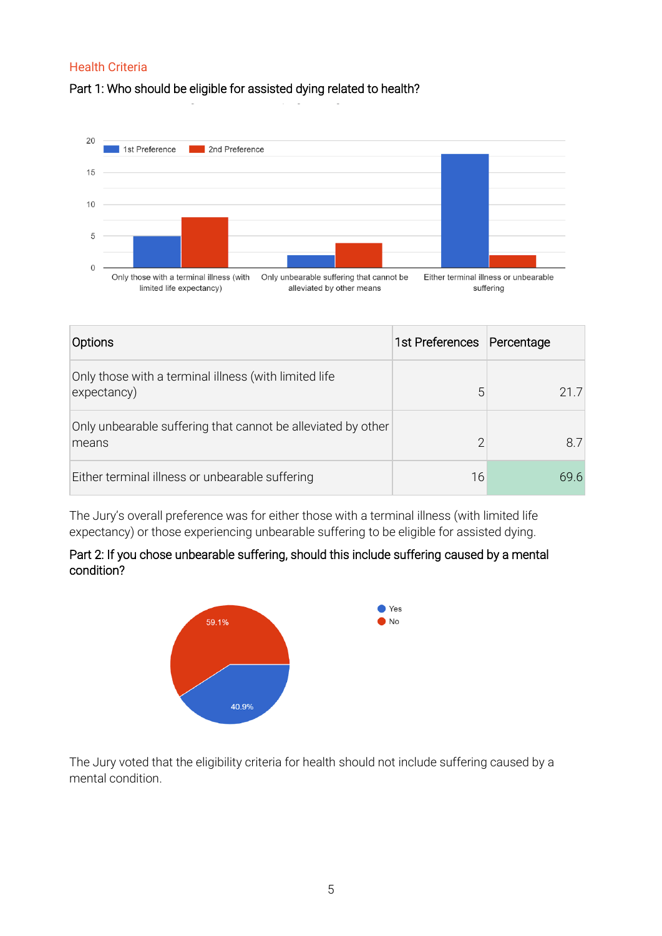## Health Criteria

## Part 1: Who should be eligible for assisted dying related to health?



| Options                                                               | 1st Preferences Percentage |      |
|-----------------------------------------------------------------------|----------------------------|------|
| Only those with a terminal illness (with limited life<br>expectancy)  | 5                          | 21.7 |
| Only unbearable suffering that cannot be alleviated by other<br>means | ∩                          | 8.7  |
| Either terminal illness or unbearable suffering                       | 16                         | 696  |

The Jury's overall preference was for either those with a terminal illness (with limited life expectancy) or those experiencing unbearable suffering to be eligible for assisted dying.

## Part 2: If you chose unbearable suffering, should this include suffering caused by a mental condition?



The Jury voted that the eligibility criteria for health should not include suffering caused by a mental condition.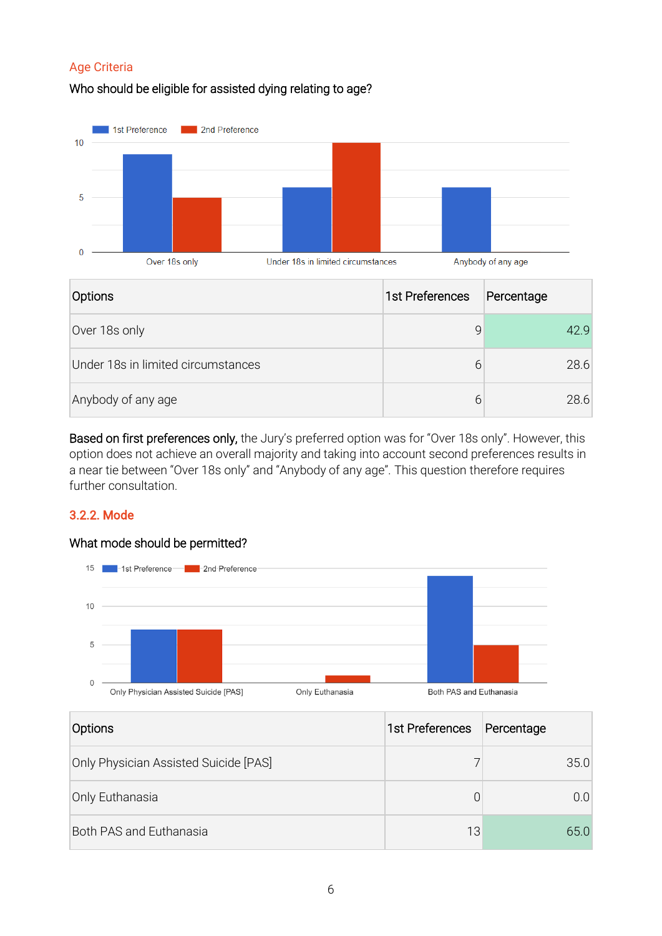## Age Criteria

## Who should be eligible for assisted dying relating to age?



| <b>Options</b>                     | 1st Preferences | Percentage |
|------------------------------------|-----------------|------------|
| Over 18s only                      | 9               | 42 Q       |
| Under 18s in limited circumstances | 6               | 28.6       |
| Anybody of any age                 | 6               | 28.6       |

Based on first preferences only, the Jury's preferred option was for "Over 18s only". However, this option does not achieve an overall majority and taking into account second preferences results in a near tie between "Over 18s only" and "Anybody of any age". This question therefore requires further consultation.

## 3.2.2. Mode

#### What mode should be permitted?



| Options                               | 1st Preferences | Percentage     |
|---------------------------------------|-----------------|----------------|
| Only Physician Assisted Suicide [PAS] |                 | 35.0           |
| Only Euthanasia                       | 0               | 0 <sub>0</sub> |
| <b>Both PAS and Euthanasia</b>        | 13              | 65.0           |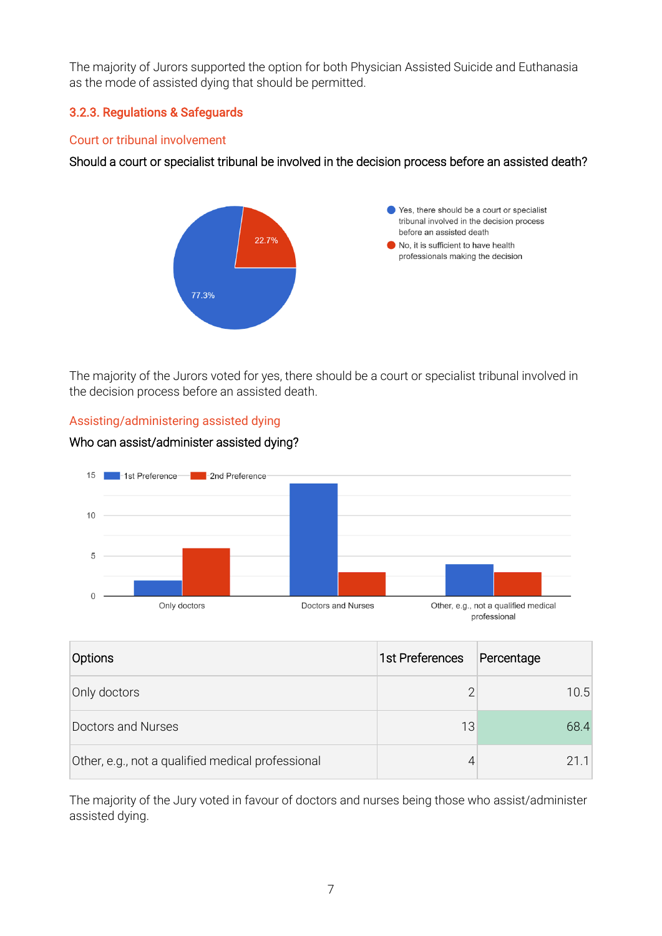The majority of Jurors supported the option for both Physician Assisted Suicide and Euthanasia as the mode of assisted dying that should be permitted.

## 3.2.3. Regulations & Safeguards

#### Court or tribunal involvement

## Should a court or specialist tribunal be involved in the decision process before an assisted death?



The majority of the Jurors voted for yes, there should be a court or specialist tribunal involved in the decision process before an assisted death.



#### Assisting/administering assisted dying

Who can assist/administer assisted dying?

| Options                                           | 1st Preferences | Percentage |
|---------------------------------------------------|-----------------|------------|
| Only doctors                                      | っ               | 10.5       |
| Doctors and Nurses                                | 13              | 68.4       |
| Other, e.g., not a qualified medical professional |                 | 211        |

The majority of the Jury voted in favour of doctors and nurses being those who assist/administer assisted dying.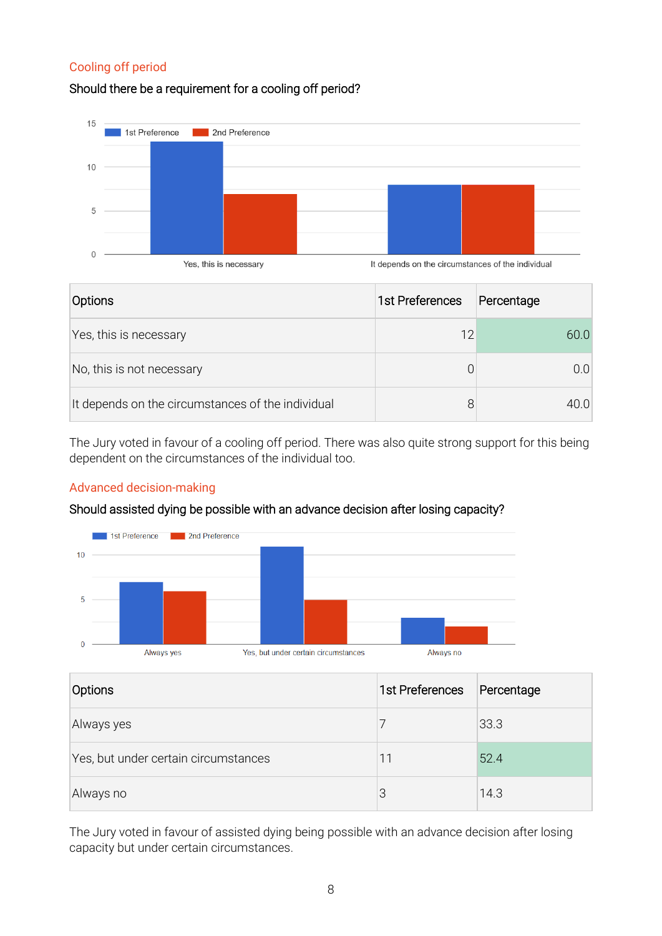## Cooling off period

## Should there be a requirement for a cooling off period?



| <b>Options</b>                                    | 1st Preferences | Percentage |
|---------------------------------------------------|-----------------|------------|
| Yes, this is necessary                            | 12              | 60.0       |
| No, this is not necessary                         |                 | (1)        |
| It depends on the circumstances of the individual |                 | 40 O       |

The Jury voted in favour of a cooling off period. There was also quite strong support for this being dependent on the circumstances of the individual too.

#### Advanced decision-making

#### Should assisted dying be possible with an advance decision after losing capacity?



| Options                              | 1st Preferences | Percentage |
|--------------------------------------|-----------------|------------|
| Always yes                           |                 | 33.3       |
| Yes, but under certain circumstances | 11              | 52.4       |
| Always no                            | 3               | 14.3       |

The Jury voted in favour of assisted dying being possible with an advance decision after losing capacity but under certain circumstances.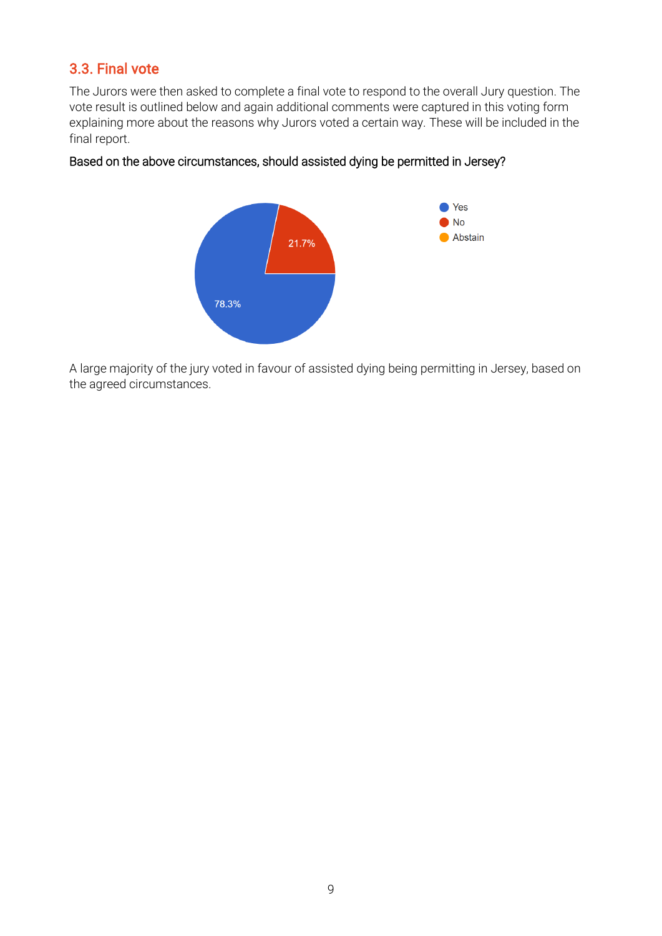# 3.3. Final vote

The Jurors were then asked to complete a final vote to respond to the overall Jury question. The vote result is outlined below and again additional comments were captured in this voting form explaining more about the reasons why Jurors voted a certain way. These will be included in the final report.

#### Based on the above circumstances, should assisted dying be permitted in Jersey?



A large majority of the jury voted in favour of assisted dying being permitting in Jersey, based on the agreed circumstances.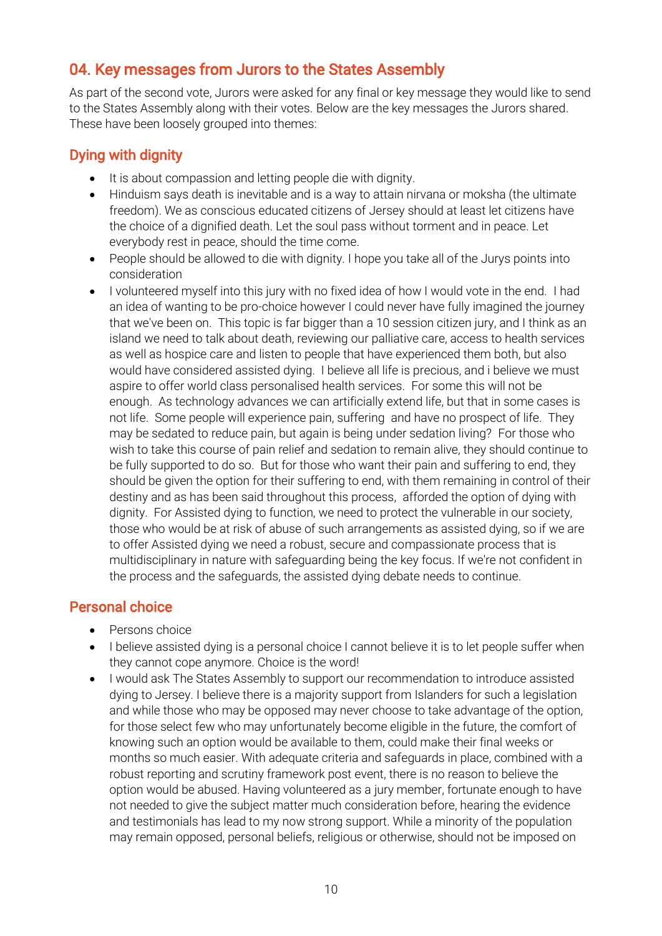# 04. Key messages from Jurors to the States Assembly

As part of the second vote, Jurors were asked for any final or key message they would like to send to the States Assembly along with their votes. Below are the key messages the Jurors shared. These have been loosely grouped into themes:

# Dying with dignity

- It is about compassion and letting people die with dignity.
- Hinduism says death is inevitable and is a way to attain nirvana or moksha (the ultimate freedom). We as conscious educated citizens of Jersey should at least let citizens have the choice of a dignified death. Let the soul pass without torment and in peace. Let everybody rest in peace, should the time come.
- People should be allowed to die with dignity. I hope you take all of the Jurys points into consideration
- I volunteered myself into this jury with no fixed idea of how I would vote in the end. I had an idea of wanting to be pro-choice however I could never have fully imagined the journey that we've been on. This topic is far bigger than a 10 session citizen jury, and I think as an island we need to talk about death, reviewing our palliative care, access to health services as well as hospice care and listen to people that have experienced them both, but also would have considered assisted dying. I believe all life is precious, and i believe we must aspire to offer world class personalised health services. For some this will not be enough. As technology advances we can artificially extend life, but that in some cases is not life. Some people will experience pain, suffering and have no prospect of life. They may be sedated to reduce pain, but again is being under sedation living? For those who wish to take this course of pain relief and sedation to remain alive, they should continue to be fully supported to do so. But for those who want their pain and suffering to end, they should be given the option for their suffering to end, with them remaining in control of their destiny and as has been said throughout this process, afforded the option of dying with dignity. For Assisted dying to function, we need to protect the vulnerable in our society, those who would be at risk of abuse of such arrangements as assisted dying, so if we are to offer Assisted dying we need a robust, secure and compassionate process that is multidisciplinary in nature with safeguarding being the key focus. If we're not confident in the process and the safeguards, the assisted dying debate needs to continue.

# Personal choice

- Persons choice
- I believe assisted dying is a personal choice I cannot believe it is to let people suffer when they cannot cope anymore. Choice is the word!
- I would ask The States Assembly to support our recommendation to introduce assisted dying to Jersey. I believe there is a majority support from Islanders for such a legislation and while those who may be opposed may never choose to take advantage of the option, for those select few who may unfortunately become eligible in the future, the comfort of knowing such an option would be available to them, could make their final weeks or months so much easier. With adequate criteria and safeguards in place, combined with a robust reporting and scrutiny framework post event, there is no reason to believe the option would be abused. Having volunteered as a jury member, fortunate enough to have not needed to give the subject matter much consideration before, hearing the evidence and testimonials has lead to my now strong support. While a minority of the population may remain opposed, personal beliefs, religious or otherwise, should not be imposed on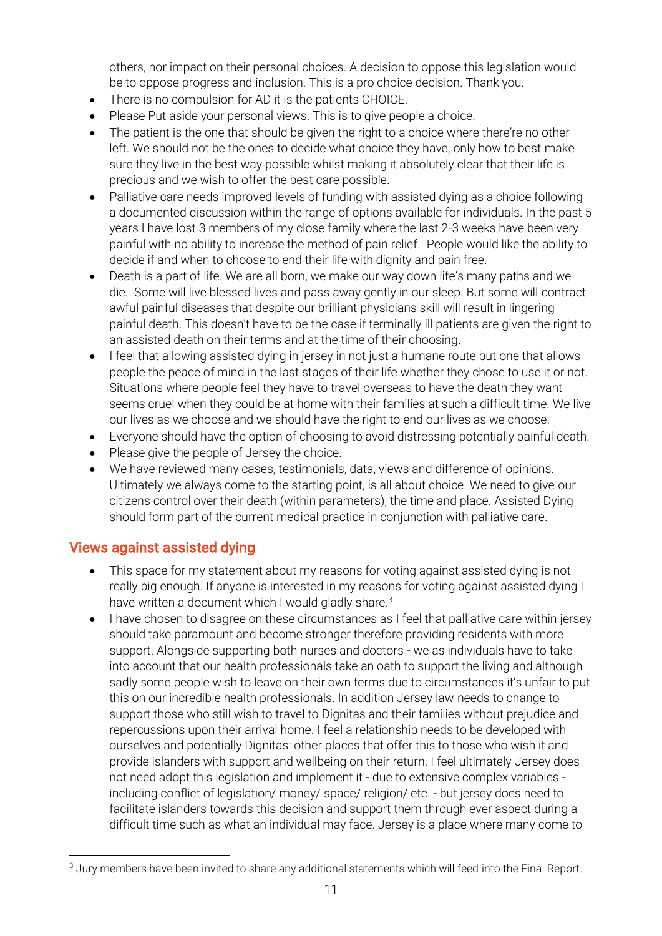others, nor impact on their personal choices. A decision to oppose this legislation would be to oppose progress and inclusion. This is a pro choice decision. Thank you.

- There is no compulsion for AD it is the patients CHOICE.
- Please Put aside your personal views. This is to give people a choice.
- The patient is the one that should be given the right to a choice where there're no other left. We should not be the ones to decide what choice they have, only how to best make sure they live in the best way possible whilst making it absolutely clear that their life is precious and we wish to offer the best care possible.
- Palliative care needs improved levels of funding with assisted dying as a choice following a documented discussion within the range of options available for individuals. In the past 5 years I have lost 3 members of my close family where the last 2-3 weeks have been very painful with no ability to increase the method of pain relief. People would like the ability to decide if and when to choose to end their life with dignity and pain free.
- Death is a part of life. We are all born, we make our way down life's many paths and we die. Some will live blessed lives and pass away gently in our sleep. But some will contract awful painful diseases that despite our brilliant physicians skill will result in lingering painful death. This doesn't have to be the case if terminally ill patients are given the right to an assisted death on their terms and at the time of their choosing.
- I feel that allowing assisted dying in jersey in not just a humane route but one that allows people the peace of mind in the last stages of their life whether they chose to use it or not. Situations where people feel they have to travel overseas to have the death they want seems cruel when they could be at home with their families at such a difficult time. We live our lives as we choose and we should have the right to end our lives as we choose.
- Everyone should have the option of choosing to avoid distressing potentially painful death.
- Please give the people of Jersey the choice.
- We have reviewed many cases, testimonials, data, views and difference of opinions. Ultimately we always come to the starting point, is all about choice. We need to give our citizens control over their death (within parameters), the time and place. Assisted Dying should form part of the current medical practice in conjunction with palliative care.

## Views against assisted dying

- This space for my statement about my reasons for voting against assisted dying is not really big enough. If anyone is interested in my reasons for voting against assisted dying I have written a document which I would gladly share.<sup>3</sup>
- I have chosen to disagree on these circumstances as I feel that palliative care within jersey should take paramount and become stronger therefore providing residents with more support. Alongside supporting both nurses and doctors - we as individuals have to take into account that our health professionals take an oath to support the living and although sadly some people wish to leave on their own terms due to circumstances it's unfair to put this on our incredible health professionals. In addition Jersey law needs to change to support those who still wish to travel to Dignitas and their families without prejudice and repercussions upon their arrival home. I feel a relationship needs to be developed with ourselves and potentially Dignitas: other places that offer this to those who wish it and provide islanders with support and wellbeing on their return. I feel ultimately Jersey does not need adopt this legislation and implement it - due to extensive complex variables including conflict of legislation/ money/ space/ religion/ etc. - but jersey does need to facilitate islanders towards this decision and support them through ever aspect during a difficult time such as what an individual may face. Jersey is a place where many come to

<sup>&</sup>lt;sup>3</sup> Jury members have been invited to share any additional statements which will feed into the Final Report.